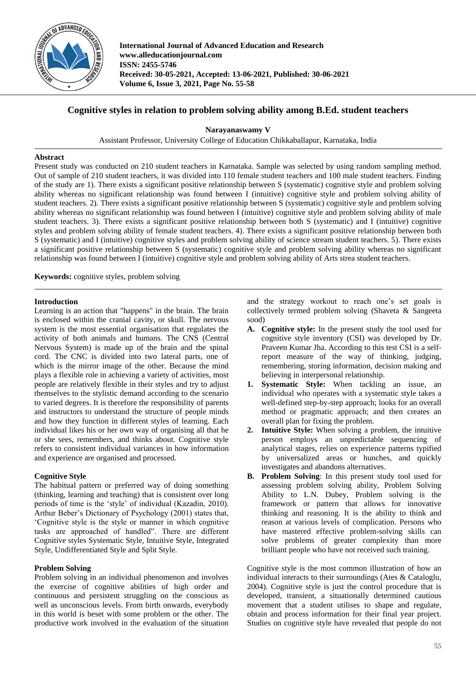

**International Journal of Advanced Education and Research www.alleducationjournal.com ISSN: 2455-5746 Received: 30-05-2021, Accepted: 13-06-2021, Published: 30-06-2021 Volume 6, Issue 3, 2021, Page No. 55-58**

# **Cognitive styles in relation to problem solving ability among B.Ed. student teachers**

**Narayanaswamy V**

Assistant Professor, University College of Education Chikkaballapur, Karnataka, India

# **Abstract**

Present study was conducted on 210 student teachers in Karnataka. Sample was selected by using random sampling method. Out of sample of 210 student teachers, it was divided into 110 female student teachers and 100 male student teachers. Finding of the study are 1). There exists a significant positive relationship between S (systematic) cognitive style and problem solving ability whereas no significant relationship was found between I (intuitive) cognitive style and problem solving ability of student teachers. 2). There exists a significant positive relationship between S (systematic) cognitive style and problem solving ability whereas no significant relationship was found between I (intuitive) cognitive style and problem solving ability of male student teachers. 3). There exists a significant positive relationship between both S (systematic) and I (intuitive) cognitive styles and problem solving ability of female student teachers. 4). There exists a significant positive relationship between both S (systematic) and I (intuitive) cognitive styles and problem solving ability of science stream student teachers. 5). There exists a significant positive relationship between S (systematic) cognitive style and problem solving ability whereas no significant relationship was found between I (intuitive) cognitive style and problem solving ability of Arts strea student teachers.

**Keywords:** cognitive styles, problem solving

# **Introduction**

Learning is an action that "happens" in the brain. The brain is enclosed within the cranial cavity, or skull. The nervous system is the most essential organisation that regulates the activity of both animals and humans. The CNS (Central Nervous System) is made up of the brain and the spinal cord. The CNC is divided into two lateral parts, one of which is the mirror image of the other. Because the mind plays a flexible role in achieving a variety of activities, most people are relatively flexible in their styles and try to adjust themselves to the stylistic demand according to the scenario to varied degrees. It is therefore the responsibility of parents and instructors to understand the structure of people minds and how they function in different styles of learning. Each individual likes his or her own way of organising all that he or she sees, remembers, and thinks about. Cognitive style refers to consistent individual variances in how information and experience are organised and processed.

# **Cognitive Style**

The habitual pattern or preferred way of doing something (thinking, learning and teaching) that is consistent over long periods of time is the 'style' of individual (Kazadin, 2010). Arthur Beber's Dictionary of Psychology (2001) states that, 'Cognitive style is the style or manner in which cognitive tasks are approached of handled". There are different Cognitive styles Systematic Style, Intuitive Style, Integrated Style, Undifferentiated Style and Split Style.

# **Problem Solving**

Problem solving in an individual phenomenon and involves the exercise of cognitive abilities of high order and continuous and persistent struggling on the conscious as well as unconscious levels. From birth onwards, everybody in this world is beset with some problem or the other. The productive work involved in the evaluation of the situation and the strategy workout to reach one's set goals is collectively termed problem solving (Shaveta & Sangeeta sood)

- **A. Cognitive style:** In the present study the tool used for cognitive style inventory (CSI) was developed by Dr. Praveen Kumar Jha. According to this test CSI is a selfreport measure of the way of thinking, judging, remembering, storing information, decision making and believing in interpersonal relationship.
- **1. Systematic Style:** When tackling an issue, an individual who operates with a systematic style takes a well-defined step-by-step approach; looks for an overall method or pragmatic approach; and then creates an overall plan for fixing the problem.
- **2. Intuitive Style:** When solving a problem, the intuitive person employs an unpredictable sequencing of analytical stages, relies on experience patterns typified by universalized areas or hunches, and quickly investigates and abandons alternatives.
- **B. Problem Solving**: In this present study tool used for assessing problem solving ability, Problem Solving Ability to L.N. Dubey, Problem solving is the framework or pattern that allows for innovative thinking and reasoning. It is the ability to think and reason at various levels of complication. Persons who have mastered effective problem-solving skills can solve problems of greater complexity than more brilliant people who have not received such training.

Cognitive style is the most common illustration of how an individual interacts to their surroundings (Ates & Cataloglu, 2004). Cognitive style is just the control procedure that is developed, transient, a situationally determined cautious movement that a student utilises to shape and regulate, obtain and process information for their final year project. Studies on cognitive style have revealed that people do not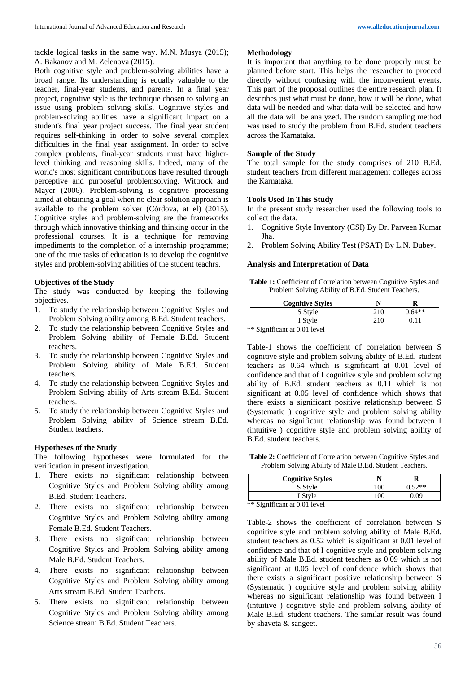tackle logical tasks in the same way. M.N. Musya (2015); A. Bakanov and M. Zelenova (2015).

Both cognitive style and problem-solving abilities have a broad range. Its understanding is equally valuable to the teacher, final-year students, and parents. In a final year project, cognitive style is the technique chosen to solving an issue using problem solving skills. Cognitive styles and problem-solving abilities have a significant impact on a student's final year project success. The final year student requires self-thinking in order to solve several complex difficulties in the final year assignment. In order to solve complex problems, final-year students must have higherlevel thinking and reasoning skills. Indeed, many of the world's most significant contributions have resulted through perceptive and purposeful problemsolving. Wittrock and Mayer (2006). Problem-solving is cognitive processing aimed at obtaining a goal when no clear solution approach is available to the problem solver (Córdova, at el) (2015). Cognitive styles and problem-solving are the frameworks through which innovative thinking and thinking occur in the professional courses. It is a technique for removing impediments to the completion of a internship programme; one of the true tasks of education is to develop the cognitive styles and problem-solving abilities of the student teachrs.

# **Objectives of the Study**

The study was conducted by keeping the following objectives.

- 1. To study the relationship between Cognitive Styles and Problem Solving ability among B.Ed. Student teachers.
- 2. To study the relationship between Cognitive Styles and Problem Solving ability of Female B.Ed. Student teachers.
- 3. To study the relationship between Cognitive Styles and Problem Solving ability of Male B.Ed. Student teachers.
- 4. To study the relationship between Cognitive Styles and Problem Solving ability of Arts stream B.Ed. Student teachers.
- 5. To study the relationship between Cognitive Styles and Problem Solving ability of Science stream B.Ed. Student teachers.

#### **Hypotheses of the Study**

The following hypotheses were formulated for the verification in present investigation.

- 1. There exists no significant relationship between Cognitive Styles and Problem Solving ability among B.Ed. Student Teachers.
- 2. There exists no significant relationship between Cognitive Styles and Problem Solving ability among Female B.Ed. Student Teachers.
- 3. There exists no significant relationship between Cognitive Styles and Problem Solving ability among Male B.Ed. Student Teachers.
- 4. There exists no significant relationship between Cognitive Styles and Problem Solving ability among Arts stream B.Ed. Student Teachers.
- 5. There exists no significant relationship between Cognitive Styles and Problem Solving ability among Science stream B.Ed. Student Teachers.

## **Methodology**

It is important that anything to be done properly must be planned before start. This helps the researcher to proceed directly without confusing with the inconvenient events. This part of the proposal outlines the entire research plan. It describes just what must be done, how it will be done, what data will be needed and what data will be selected and how all the data will be analyzed. The random sampling method was used to study the problem from B.Ed. student teachers across the Karnataka.

## **Sample of the Study**

The total sample for the study comprises of 210 B.Ed. student teachers from different management colleges across the Karnataka.

## **Tools Used In This Study**

In the present study researcher used the following tools to collect the data.

- 1. Cognitive Style Inventory (CSI) By Dr. Parveen Kumar Jha.
- 2. Problem Solving Ability Test (PSAT) By L.N. Dubey.

## **Analysis and Interpretation of Data**

**Table 1:** Coefficient of Correlation between Cognitive Styles and Problem Solving Ability of B.Ed. Student Teachers.

| <b>Cognitive Styles</b> |     |          |
|-------------------------|-----|----------|
| S Style                 | 210 | $0.64**$ |
| I Style                 | 210 |          |

\*\* Significant at 0.01 level

Table-1 shows the coefficient of correlation between S cognitive style and problem solving ability of B.Ed. student teachers as 0.64 which is significant at 0.01 level of confidence and that of I cognitive style and problem solving ability of B.Ed. student teachers as 0.11 which is not significant at 0.05 level of confidence which shows that there exists a significant positive relationship between S (Systematic ) cognitive style and problem solving ability whereas no significant relationship was found between I (intuitive ) cognitive style and problem solving ability of B.Ed. student teachers.

**Table 2:** Coefficient of Correlation between Cognitive Styles and Problem Solving Ability of Male B.Ed. Student Teachers.

| <b>Cognitive Styles</b> |     |        |
|-------------------------|-----|--------|
| S Style                 | 100 | 0.52** |
| I Style                 | 100 | 0.09   |

\*\* Significant at 0.01 level

Table-2 shows the coefficient of correlation between S cognitive style and problem solving ability of Male B.Ed. student teachers as 0.52 which is significant at 0.01 level of confidence and that of I cognitive style and problem solving ability of Male B.Ed. student teachers as 0.09 which is not significant at 0.05 level of confidence which shows that there exists a significant positive relationship between S (Systematic ) cognitive style and problem solving ability whereas no significant relationship was found between I (intuitive ) cognitive style and problem solving ability of Male B.Ed. student teachers. The similar result was found by shaveta & sangeet.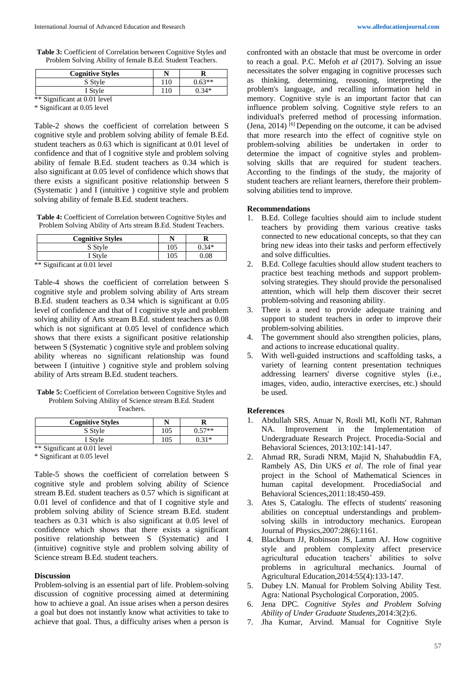**Table 3:** Coefficient of Correlation between Cognitive Styles and Problem Solving Ability of female B.Ed. Student Teachers.

| <b>Cognitive Styles</b> |     |          |
|-------------------------|-----|----------|
| S Style                 | 110 | $0.63**$ |
| I Style                 | 110 | $0.34*$  |

\*\* Significant at 0.01 level

\* Significant at 0.05 level

Table-2 shows the coefficient of correlation between S cognitive style and problem solving ability of female B.Ed. student teachers as 0.63 which is significant at 0.01 level of confidence and that of I cognitive style and problem solving ability of female B.Ed. student teachers as 0.34 which is also significant at 0.05 level of confidence which shows that there exists a significant positive relationship between S (Systematic ) and I (intuitive ) cognitive style and problem solving ability of female B.Ed. student teachers.

**Table 4:** Coefficient of Correlation between Cognitive Styles and Problem Solving Ability of Arts stream B.Ed. Student Teachers.

| <b>Cognitive Styles</b>      |     |         |
|------------------------------|-----|---------|
| S Style                      | 105 | $0.34*$ |
| I Style                      | 105 | 0.08    |
| ** Significant at 0.01 level |     |         |

Table-4 shows the coefficient of correlation between S cognitive style and problem solving ability of Arts stream B.Ed. student teachers as 0.34 which is significant at 0.05 level of confidence and that of I cognitive style and problem solving ability of Arts stream B.Ed. student teachers as 0.08 which is not significant at  $0.05$  level of confidence which shows that there exists a significant positive relationship between S (Systematic ) cognitive style and problem solving ability whereas no significant relationship was found between I (intuitive ) cognitive style and problem solving

**Table 5:** Coefficient of Correlation between Cognitive Styles and Problem Solving Ability of Science stream B.Ed. Student Teachers.

ability of Arts stream B.Ed. student teachers.

| <b>Cognitive Styles</b>      |     |          |
|------------------------------|-----|----------|
| S Style                      | 105 | $0.57**$ |
| I Style                      | 105 | በ 31*    |
| ** Significant at 0.01 level |     |          |

\* Significant at 0.05 level

Table-5 shows the coefficient of correlation between S cognitive style and problem solving ability of Science stream B.Ed. student teachers as 0.57 which is significant at 0.01 level of confidence and that of I cognitive style and problem solving ability of Science stream B.Ed. student teachers as 0.31 which is also significant at 0.05 level of confidence which shows that there exists a significant positive relationship between S (Systematic) and I (intuitive) cognitive style and problem solving ability of Science stream B.Ed. student teachers.

## **Discussion**

Problem-solving is an essential part of life. Problem-solving discussion of cognitive processing aimed at determining how to achieve a goal. An issue arises when a person desires a goal but does not instantly know what activities to take to achieve that goal. Thus, a difficulty arises when a person is

confronted with an obstacle that must be overcome in order to reach a goal. P.C. Mefoh *et al* (2017). Solving an issue necessitates the solver engaging in cognitive processes such as thinking, determining, reasoning, interpreting the problem's language, and recalling information held in memory. Cognitive style is an important factor that can influence problem solving. Cognitive style refers to an individual's preferred method of processing information. (Jena,  $2014$ ) <sup>[6]</sup> Depending on the outcome, it can be advised that more research into the effect of cognitive style on problem-solving abilities be undertaken in order to determine the impact of cognitive styles and problemsolving skills that are required for student teachers. According to the findings of the study, the majority of student teachers are reliant learners, therefore their problemsolving abilities tend to improve.

#### **Recommendations**

- 1. B.Ed. College faculties should aim to include student teachers by providing them various creative tasks connected to new educational concepts, so that they can bring new ideas into their tasks and perform effectively and solve difficulties.
- 2. B.Ed. College faculties should allow student teachers to practice best teaching methods and support problemsolving strategies. They should provide the personalised attention, which will help them discover their secret problem-solving and reasoning ability.
- 3. There is a need to provide adequate training and support to student teachers in order to improve their problem-solving abilities.
- 4. The government should also strengthen policies, plans, and actions to increase educational quality.
- 5. With well-guided instructions and scaffolding tasks, a variety of learning content presentation techniques addressing learners' diverse cognitive styles (i.e., images, video, audio, interactive exercises, etc.) should be used.

#### **References**

- 1. Abdullah SRS, Anuar N, Rosli MI, Kofli NT, Rahman NA. Improvement in the Implementation of Undergraduate Research Project. Procedia-Social and Behavioral Sciences, 2013:102:141-147.
- 2. Ahmad RR, Suradi NRM, Majid N, Shahabuddin FA, Rambely AS, Din UKS *et al*. The role of final year project in the School of Mathematical Sciences in human capital development. ProcediaSocial and Behavioral Sciences,2011:18:450-459.
- 3. Ates S, Cataloglu. The effects of students' reasoning abilities on conceptual understandings and problemsolving skills in introductory mechanics. European Journal of Physics,2007:28(6):1161.
- 4. Blackburn JJ, Robinson JS, Lamm AJ. How cognitive style and problem complexity affect preservice agricultural education teachers' abilities to solve problems in agricultural mechanics. Journal of Agricultural Education,2014:55(4):133-147.
- 5. Dubey LN. Manual for Problem Solving Ability Test. Agra: National Psychological Corporation, 2005.
- 6. Jena DPC. *Cognitive Styles and Problem Solving Ability of Under Graduate Students*,2014:3(2):6.
- 7. Jha Kumar, Arvind. Manual for Cognitive Style